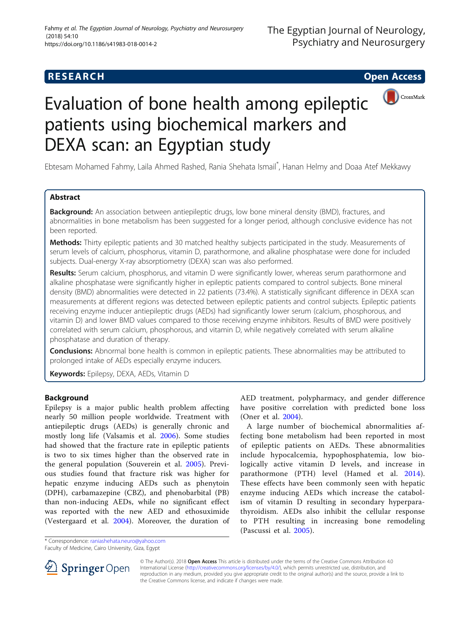# **RESEARCH CHE Open Access**



# Evaluation of bone health among epileptic patients using biochemical markers and DEXA scan: an Egyptian study

Ebtesam Mohamed Fahmy, Laila Ahmed Rashed, Rania Shehata Ismail\* , Hanan Helmy and Doaa Atef Mekkawy

# Abstract

Background: An association between antiepileptic drugs, low bone mineral density (BMD), fractures, and abnormalities in bone metabolism has been suggested for a longer period, although conclusive evidence has not been reported.

Methods: Thirty epileptic patients and 30 matched healthy subjects participated in the study. Measurements of serum levels of calcium, phosphorus, vitamin D, parathormone, and alkaline phosphatase were done for included subjects. Dual-energy X-ray absorptiometry (DEXA) scan was also performed.

Results: Serum calcium, phosphorus, and vitamin D were significantly lower, whereas serum parathormone and alkaline phosphatase were significantly higher in epileptic patients compared to control subjects. Bone mineral density (BMD) abnormalities were detected in 22 patients (73.4%). A statistically significant difference in DEXA scan measurements at different regions was detected between epileptic patients and control subjects. Epileptic patients receiving enzyme inducer antiepileptic drugs (AEDs) had significantly lower serum (calcium, phosphorous, and vitamin D) and lower BMD values compared to those receiving enzyme inhibitors. Results of BMD were positively correlated with serum calcium, phosphorous, and vitamin D, while negatively correlated with serum alkaline phosphatase and duration of therapy.

**Conclusions:** Abnormal bone health is common in epileptic patients. These abnormalities may be attributed to prolonged intake of AEDs especially enzyme inducers.

Keywords: Epilepsy, DEXA, AEDs, Vitamin D

# Background

Epilepsy is a major public health problem affecting nearly 50 million people worldwide. Treatment with antiepileptic drugs (AEDs) is generally chronic and mostly long life (Valsamis et al. [2006](#page-7-0)). Some studies had showed that the fracture rate in epileptic patients is two to six times higher than the observed rate in the general population (Souverein et al. [2005](#page-7-0)). Previous studies found that fracture risk was higher for hepatic enzyme inducing AEDs such as phenytoin (DPH), carbamazepine (CBZ), and phenobarbital (PB) than non-inducing AEDs, while no significant effect was reported with the new AED and ethosuximide (Vestergaard et al. [2004\)](#page-7-0). Moreover, the duration of

AED treatment, polypharmacy, and gender difference have positive correlation with predicted bone loss (Oner et al. [2004](#page-6-0)).

A large number of biochemical abnormalities affecting bone metabolism had been reported in most of epileptic patients on AEDs. These abnormalities include hypocalcemia, hypophosphatemia, low biologically active vitamin D levels, and increase in parathormone (PTH) level (Hamed et al. [2014](#page-6-0)). These effects have been commonly seen with hepatic enzyme inducing AEDs which increase the catabolism of vitamin D resulting in secondary hyperparathyroidism. AEDs also inhibit the cellular response to PTH resulting in increasing bone remodeling (Pascussi et al. [2005\)](#page-7-0).

\* Correspondence: [raniashehata.neuro@yahoo.com](mailto:raniashehata.neuro@yahoo.com)

Faculty of Medicine, Cairo University, Giza, Egypt



© The Author(s). 2018 Open Access This article is distributed under the terms of the Creative Commons Attribution 4.0 International License ([http://creativecommons.org/licenses/by/4.0/\)](http://creativecommons.org/licenses/by/4.0/), which permits unrestricted use, distribution, and reproduction in any medium, provided you give appropriate credit to the original author(s) and the source, provide a link to the Creative Commons license, and indicate if changes were made.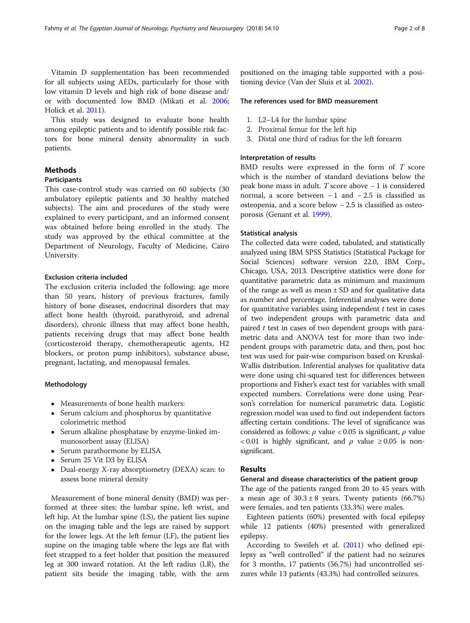Vitamin D supplementation has been recommended for all subjects using AEDs, particularly for those with low vitamin D levels and high risk of bone disease and/ or with documented low BMD (Mikati et al. [2006](#page-6-0); Holick et al. [2011\)](#page-6-0).

This study was designed to evaluate bone health among epileptic patients and to identify possible risk factors for bone mineral density abnormality in such patients.

# Methods

# Participants

This case-control study was carried on 60 subjects (30 ambulatory epileptic patients and 30 healthy matched subjects). The aim and procedures of the study were explained to every participant, and an informed consent was obtained before being enrolled in the study. The study was approved by the ethical committee at the Department of Neurology, Faculty of Medicine, Cairo University.

#### Exclusion criteria included

The exclusion criteria included the following: age more than 50 years, history of previous fractures, family history of bone diseases, endocrinal disorders that may affect bone health (thyroid, parathyroid, and adrenal disorders), chronic illness that may affect bone health, patients receiving drugs that may affect bone health (corticosteroid therapy, chemotherapeutic agents, H2 blockers, or proton pump inhibitors), substance abuse, pregnant, lactating, and menopausal females.

#### Methodology

- Measurements of bone health markers:
- Serum calcium and phosphorus by quantitative colorimetric method
- Serum alkaline phosphatase by enzyme-linked immunosorbent assay (ELISA)
- Serum parathormone by ELISA
- Serum 25 Vit D3 by ELISA
- Dual-energy X-ray absorptiometry (DEXA) scan: to assess bone mineral density

Measurement of bone mineral density (BMD) was performed at three sites: the lumbar spine, left wrist, and left hip. At the lumbar spine (LS), the patient lies supine on the imaging table and the legs are raised by support for the lower legs. At the left femur (LF), the patient lies supine on the imaging table where the legs are flat with feet strapped to a feet holder that position the measured leg at 300 inward rotation. At the left radius (LR), the patient sits beside the imaging table, with the arm

positioned on the imaging table supported with a positioning device (Van der Sluis et al. [2002\)](#page-7-0).

#### The references used for BMD measurement

- 1. L2–L4 for the lumbar spine
- 2. Proximal femur for the left hip
- 3. Distal one third of radius for the left forearm

# Interpretation of results

BMD results were expressed in the form of T score which is the number of standard deviations below the peak bone mass in adult. T score above − 1 is considered normal, a score between − 1 and − 2.5 is classified as osteopenia, and a score below − 2.5 is classified as osteoporosis (Genant et al. [1999](#page-6-0)).

#### Statistical analysis

The collected data were coded, tabulated, and statistically analyzed using IBM SPSS Statistics (Statistical Package for Social Sciences) software version 22.0, IBM Corp., Chicago, USA, 2013. Descriptive statistics were done for quantitative parametric data as minimum and maximum of the range as well as mean  $\pm$  SD and for qualitative data as number and percentage. Inferential analyses were done for quantitative variables using independent  $t$  test in cases of two independent groups with parametric data and paired  $t$  test in cases of two dependent groups with parametric data and ANOVA test for more than two independent groups with parametric data, and then, post hoc test was used for pair-wise comparison based on Kruskal-Wallis distribution. Inferential analyses for qualitative data were done using chi-squared test for differences between proportions and Fisher's exact test for variables with small expected numbers. Correlations were done using Pearson's correlation for numerical parametric data. Logistic regression model was used to find out independent factors affecting certain conditions. The level of significance was considered as follows:  $\rho$  value < 0.05 is significant,  $\rho$  value  $< 0.01$  is highly significant, and  $\rho$  value  $\ge 0.05$  is nonsignificant.

## Results

### General and disease characteristics of the patient group

The age of the patients ranged from 20 to 45 years with a mean age of  $30.3 \pm 8$  years. Twenty patients (66.7%) were females, and ten patients (33.3%) were males.

Eighteen patients (60%) presented with focal epilepsy while 12 patients (40%) presented with generalized epilepsy.

According to Sweileh et al. [\(2011\)](#page-7-0) who defined epilepsy as "well controlled" if the patient had no seizures for 3 months, 17 patients (56.7%) had uncontrolled seizures while 13 patients (43.3%) had controlled seizures.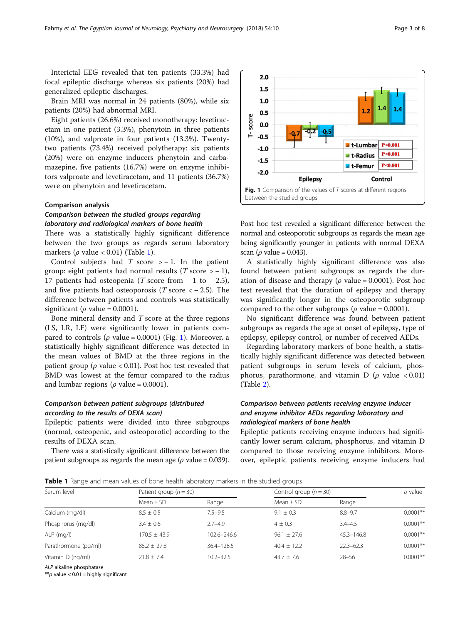Interictal EEG revealed that ten patients (33.3%) had focal epileptic discharge whereas six patients (20%) had generalized epileptic discharges.

Brain MRI was normal in 24 patients (80%), while six patients (20%) had abnormal MRI.

Eight patients (26.6%) received monotherapy: levetiracetam in one patient (3.3%), phenytoin in three patients (10%), and valproate in four patients (13.3%). Twentytwo patients (73.4%) received polytherapy: six patients (20%) were on enzyme inducers phenytoin and carbamazepine, five patients (16.7%) were on enzyme inhibitors valproate and levetiracetam, and 11 patients (36.7%) were on phenytoin and levetiracetam.

### Comparison analysis

# Comparison between the studied groups regarding laboratory and radiological markers of bone health

There was a statistically highly significant difference between the two groups as regards serum laboratory markers ( $\rho$  value < 0.01) (Table 1).

Control subjects had  $T$  score > − 1. In the patient group: eight patients had normal results ( $T$  score  $> -1$ ), 17 patients had osteopenia (T score from  $-1$  to  $-2.5$ ), and five patients had osteoporosis (T score  $<-2.5$ ). The difference between patients and controls was statistically significant ( $\rho$  value = 0.0001).

Bone mineral density and T score at the three regions (LS, LR, LF) were significantly lower in patients compared to controls ( $\rho$  value = 0.0001) (Fig. 1). Moreover, a statistically highly significant difference was detected in the mean values of BMD at the three regions in the patient group ( $\rho$  value < 0.01). Post hoc test revealed that BMD was lowest at the femur compared to the radius and lumbar regions ( $\rho$  value = 0.0001).

# Comparison between patient subgroups (distributed according to the results of DEXA scan)

Epileptic patients were divided into three subgroups (normal, osteopenic, and osteoporotic) according to the results of DEXA scan.

There was a statistically significant difference between the patient subgroups as regards the mean age ( $\rho$  value = 0.039).



Post hoc test revealed a significant difference between the normal and osteoporotic subgroups as regards the mean age being significantly younger in patients with normal DEXA scan ( $\rho$  value = 0.043).

A statistically highly significant difference was also found between patient subgroups as regards the duration of disease and therapy ( $\rho$  value = 0.0001). Post hoc test revealed that the duration of epilepsy and therapy was significantly longer in the osteoporotic subgroup compared to the other subgroups ( $\rho$  value = 0.0001).

No significant difference was found between patient subgroups as regards the age at onset of epilepsy, type of epilepsy, epilepsy control, or number of received AEDs.

Regarding laboratory markers of bone health, a statistically highly significant difference was detected between patient subgroups in serum levels of calcium, phosphorus, parathormone, and vitamin D ( $\rho$  value < 0.01) (Table [2\)](#page-3-0).

# Comparison between patients receiving enzyme inducer and enzyme inhibitor AEDs regarding laboratory and radiological markers of bone health

Epileptic patients receiving enzyme inducers had significantly lower serum calcium, phosphorus, and vitamin D compared to those receiving enzyme inhibitors. Moreover, epileptic patients receiving enzyme inducers had

**Table 1** Range and mean values of bone health laboratory markers in the studied groups

| Serum level          | Patient group $(n = 30)$ |                 | Control group $(n = 30)$ |                | $\rho$ value |
|----------------------|--------------------------|-----------------|--------------------------|----------------|--------------|
|                      | Mean $\pm$ SD            | Range           | Mean $\pm$ SD            | Range          |              |
| Calcium (mg/dl)      | $8.5 \pm 0.5$            | $7.5 - 9.5$     | $9.1 \pm 0.3$            | $8.8 - 9.7$    | $0.0001**$   |
| Phosphorus (mg/dl)   | $3.4 \pm 0.6$            | $2.7 - 4.9$     | $4 \pm 0.3$              | $3.4 - 4.5$    | $0.0001**$   |
| ALP (mg/l)           | $170.5 + 43.9$           | $102.6 - 246.6$ | $96.1 \pm 27.6$          | $45.3 - 146.8$ | $0.0001**$   |
| Parathormone (pg/ml) | $85.2 \pm 27.8$          | 36.4-128.5      | $40.4 \pm 12.2$          | $22.3 - 62.3$  | $0.0001**$   |
| Vitamin D (ng/ml)    | $71.8 + 7.4$             | $10.2 - 32.5$   | $43.7 \pm 7.6$           | $28 - 56$      | $0.0001**$   |

ALP alkaline phosphatase

\*\* $\rho$  value < 0.01 = highly significant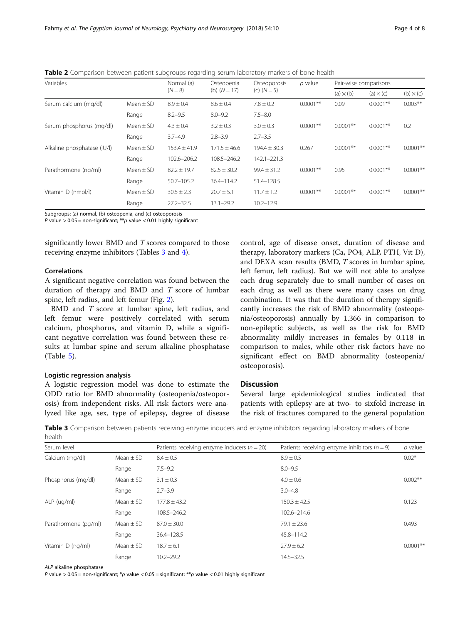| Variables                   |               | Normal (a)<br>$(N = 8)$ | Osteopenia<br>(b) $(N = 17)$ | Osteoporosis<br>(c) $(N = 5)$ | $\rho$ value | Pair-wise comparisons |                  |                  |
|-----------------------------|---------------|-------------------------|------------------------------|-------------------------------|--------------|-----------------------|------------------|------------------|
|                             |               |                         |                              |                               |              | $(a) \times (b)$      | (a) $\times$ (c) | $(b) \times (c)$ |
| Serum calcium (mg/dl)       | Mean $\pm$ SD | $8.9 \pm 0.4$           | $8.6 \pm 0.4$                | $7.8 \pm 0.2$                 | $0.0001**$   | 0.09                  | $0.0001**$       | $0.003**$        |
|                             | Range         | $8.2 - 9.5$             | $8.0 - 9.2$                  | $7.5 - 8.0$                   |              |                       |                  |                  |
| Serum phosphorus (mg/dl)    | Mean $\pm$ SD | $4.3 \pm 0.4$           | $3.2 \pm 0.3$                | $3.0 \pm 0.3$                 | $0.0001**$   | $0.0001**$            | $0.0001**$       | 0.2              |
|                             | Range         | $3.7 - 4.9$             | $2.8 - 3.9$                  | $2.7 - 3.5$                   |              |                       |                  |                  |
| Alkaline phosphatase (IU/I) | Mean $\pm$ SD | $153.4 \pm 41.9$        | $171.5 \pm 46.6$             | $194.4 \pm 30.3$              | 0.267        | $0.0001**$            | $0.0001**$       | $0.0001**$       |
|                             | Range         | 102.6-206.2             | 108.5-246.2                  | 142.1-221.3                   |              |                       |                  |                  |
| Parathormone (ng/ml)        | Mean $\pm$ SD | $82.2 \pm 19.7$         | $82.5 \pm 30.2$              | $99.4 \pm 31.2$               | $0.0001**$   | 0.95                  | $0.0001**$       | $0.0001**$       |
|                             | Range         | $50.7 - 105.2$          | $36.4 - 114.2$               | 51.4-128.5                    |              |                       |                  |                  |
| Vitamin D (nmol/l)          | Mean $\pm$ SD | $30.5 \pm 2.3$          | $20.7 \pm 5.1$               | $11.7 \pm 1.2$                | $0.0001**$   | $0.0001**$            | $0.0001**$       | $0.0001**$       |
|                             | Range         | $27.2 - 32.5$           | $13.1 - 29.2$                | $10.2 - 12.9$                 |              |                       |                  |                  |

<span id="page-3-0"></span>Table 2 Comparison between patient subgroups regarding serum laboratory markers of bone health

Subgroups: (a) normal, (b) osteopenia, and (c) osteoporosis

P value > 0.05 = non-significant; \*\*  $\rho$  value < 0.01 highly significant

significantly lower BMD and T scores compared to those receiving enzyme inhibitors (Tables 3 and [4](#page-4-0)).

# Correlations

A significant negative correlation was found between the duration of therapy and BMD and  $T$  score of lumbar spine, left radius, and left femur (Fig. [2](#page-4-0)).

BMD and T score at lumbar spine, left radius, and left femur were positively correlated with serum calcium, phosphorus, and vitamin D, while a significant negative correlation was found between these results at lumbar spine and serum alkaline phosphatase (Table [5\)](#page-4-0).

# Logistic regression analysis

A logistic regression model was done to estimate the ODD ratio for BMD abnormality (osteopenia/osteoporosis) from independent risks. All risk factors were analyzed like age, sex, type of epilepsy, degree of disease control, age of disease onset, duration of disease and therapy, laboratory markers (Ca, PO4, ALP, PTH, Vit D), and DEXA scan results (BMD, T scores in lumbar spine, left femur, left radius). But we will not able to analyze each drug separately due to small number of cases on each drug as well as there were many cases on drug combination. It was that the duration of therapy significantly increases the risk of BMD abnormality (osteopenia/osteoporosis) annually by 1.366 in comparison to non-epileptic subjects, as well as the risk for BMD abnormality mildly increases in females by 0.118 in comparison to males, while other risk factors have no significant effect on BMD abnormality (osteopenia/ osteoporosis).

# Discussion

Several large epidemiological studies indicated that patients with epilepsy are at two- to sixfold increase in the risk of fractures compared to the general population

Table 3 Comparison between patients receiving enzyme inducers and enzyme inhibitors regarding laboratory markers of bone health

| Serum level          |               | Patients receiving enzyme inducers ( $n = 20$ ) | Patients receiving enzyme inhibitors ( $n = 9$ ) | $\rho$ value |
|----------------------|---------------|-------------------------------------------------|--------------------------------------------------|--------------|
| Calcium (mg/dl)      | Mean $\pm$ SD | $8.4 \pm 0.5$                                   | $8.9 \pm 0.5$                                    | $0.02*$      |
|                      | Range         | $7.5 - 9.2$                                     | $8.0 - 9.5$                                      |              |
| Phosphorus (mg/dl)   | Mean $\pm$ SD | $3.1 \pm 0.3$                                   | $4.0 \pm 0.6$                                    | $0.002**$    |
|                      | Range         | $2.7 - 3.9$                                     | $3.0 - 4.8$                                      |              |
| ALP (ug/ml)          | Mean $\pm$ SD | $177.8 \pm 43.2$                                | $150.3 \pm 42.5$                                 | 0.123        |
|                      | Range         | 108.5-246.2                                     | 102.6-214.6                                      |              |
| Parathormone (pg/ml) | Mean $\pm$ SD | $87.0 \pm 30.0$                                 | $79.1 \pm 23.6$                                  | 0.493        |
|                      | Range         | 36.4-128.5                                      | 45.8-114.2                                       |              |
| Vitamin D (ng/ml)    | Mean $\pm$ SD | $18.7 \pm 6.1$                                  | $27.9 \pm 6.2$                                   | $0.0001**$   |
|                      | Range         | $10.2 - 29.2$                                   | $14.5 - 32.5$                                    |              |

ALP alkaline phosphatase

Ρ value > 0.05 = non-significant; \*ρ value < 0.05 = significant; \*\*ρ value < 0.01 highly significant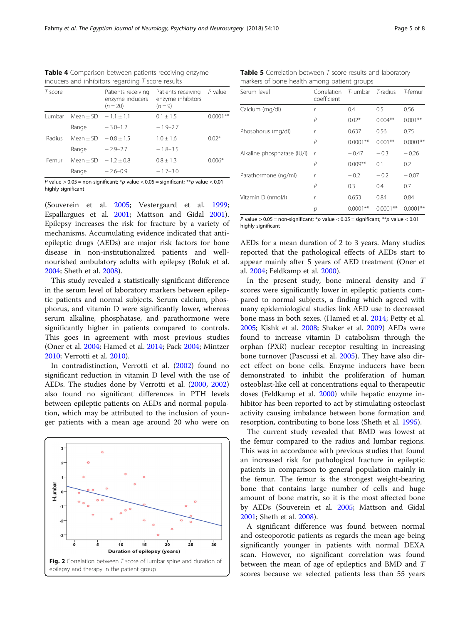<span id="page-4-0"></span>

| Table 4 Comparison between patients receiving enzyme |  |  |
|------------------------------------------------------|--|--|
| inducers and inhibitors regarding $T$ score results  |  |  |

| T score |               | Patients receiving<br>enzyme inducers<br>$(n = 20)$ | Patients receiving<br>enzyme inhibitors<br>$(n=9)$ | $P$ value  |
|---------|---------------|-----------------------------------------------------|----------------------------------------------------|------------|
| Lumbar  | Mean $\pm$ SD | $-1.1 + 1.1$                                        | $0.1 \pm 1.5$                                      | $0.0001**$ |
|         | Range         | $-3.0 - 1.2$                                        | $-1.9-2.7$                                         |            |
| Radius  | $Mean + SD$   | $-0.8 + 1.5$                                        | $1.0 + 1.6$                                        | $0.02*$    |
|         | Range         | $-2.9-2.7$                                          | $-1.8-3.5$                                         |            |
| Femur   | $Mean + SD$   | $-1.2 + 0.8$                                        | $0.8 + 1.3$                                        | $0.006*$   |
|         | Range         | $-2.6-0.9$                                          | $-1.7-3.0$                                         |            |

P value  $> 0.05$  = non-significant; \* $\rho$  value < 0.05 = significant; \*\* $\rho$  value < 0.01 highly significant

(Souverein et al. [2005](#page-7-0); Vestergaard et al. [1999](#page-7-0); Espallargues et al. [2001](#page-6-0); Mattson and Gidal [2001](#page-6-0)). Epilepsy increases the risk for fracture by a variety of mechanisms. Accumulating evidence indicated that antiepileptic drugs (AEDs) are major risk factors for bone disease in non-institutionalized patients and wellnourished ambulatory adults with epilepsy (Boluk et al. [2004](#page-6-0); Sheth et al. [2008\)](#page-7-0).

This study revealed a statistically significant difference in the serum level of laboratory markers between epileptic patients and normal subjects. Serum calcium, phosphorus, and vitamin D were significantly lower, whereas serum alkaline, phosphatase, and parathormone were significantly higher in patients compared to controls. This goes in agreement with most previous studies (Oner et al. [2004](#page-6-0); Hamed et al. [2014](#page-6-0); Pack [2004;](#page-6-0) Mintzer [2010](#page-6-0); Verrotti et al. [2010](#page-7-0)).

In contradistinction, Verrotti et al. ([2002\)](#page-7-0) found no significant reduction in vitamin D level with the use of AEDs. The studies done by Verrotti et al. ([2000](#page-7-0), [2002](#page-7-0)) also found no significant differences in PTH levels between epileptic patients on AEDs and normal population, which may be attributed to the inclusion of younger patients with a mean age around 20 who were on



**Table 5** Correlation between  $T$  score results and laboratory markers of bone health among patient groups

| Serum level                 | Correlation<br>coefficient | T-lumbar T-radius |            | T-femur    |
|-----------------------------|----------------------------|-------------------|------------|------------|
| Calcium (mg/dl)             | r                          | 0.4               | 0.5        | 0.56       |
|                             | $\overline{P}$             | $0.02*$           | $0.004***$ | $0.001**$  |
| Phosphorus (mg/dl)          | r                          | 0.637             | 0.56       | 0.75       |
|                             | P                          | $0.0001**$        | $0.001***$ | $0.0001**$ |
| Alkaline phosphatase (IU/I) | $\mathsf{r}$               | $-0.47$           | $-0.3$     | $-0.26$    |
|                             | P                          | $0.009**$         | 0.1        | 0.2        |
| Parathormone (ng/ml)        | r                          | $-0.2$            | $-0.2$     | $-0.07$    |
|                             | P                          | 0.3               | 0.4        | 0.7        |
| Vitamin D (nmol/l)          | r                          | 0.653             | 0.84       | 0.84       |
|                             | р                          | $0.0001**$        | $0.0001**$ | $0.0001**$ |

P value >  $0.05$  = non-significant; \* $\rho$  value < 0.05 = significant; \*\* $p$  value < 0.01 highly significant

AEDs for a mean duration of 2 to 3 years. Many studies reported that the pathological effects of AEDs start to appear mainly after 5 years of AED treatment (Oner et al. [2004](#page-6-0); Feldkamp et al. [2000\)](#page-6-0).

In the present study, bone mineral density and T scores were significantly lower in epileptic patients compared to normal subjects, a finding which agreed with many epidemiological studies link AED use to decreased bone mass in both sexes. (Hamed et al. [2014;](#page-6-0) Petty et al. [2005](#page-7-0); Kishk et al. [2008](#page-6-0); Shaker et al. [2009\)](#page-7-0) AEDs were found to increase vitamin D catabolism through the orphan (PXR) nuclear receptor resulting in increasing bone turnover (Pascussi et al. [2005](#page-7-0)). They have also direct effect on bone cells. Enzyme inducers have been demonstrated to inhibit the proliferation of human osteoblast-like cell at concentrations equal to therapeutic doses (Feldkamp et al. [2000](#page-6-0)) while hepatic enzyme inhibitor has been reported to act by stimulating osteoclast activity causing imbalance between bone formation and resorption, contributing to bone loss (Sheth et al. [1995](#page-7-0)).

The current study revealed that BMD was lowest at the femur compared to the radius and lumbar regions. This was in accordance with previous studies that found an increased risk for pathological fracture in epileptic patients in comparison to general population mainly in the femur. The femur is the strongest weight-bearing bone that contains large number of cells and huge amount of bone matrix, so it is the most affected bone by AEDs (Souverein et al. [2005](#page-7-0); Mattson and Gidal [2001](#page-6-0); Sheth et al. [2008\)](#page-7-0).

A significant difference was found between normal and osteoporotic patients as regards the mean age being significantly younger in patients with normal DEXA scan. However, no significant correlation was found between the mean of age of epileptics and BMD and T scores because we selected patients less than 55 years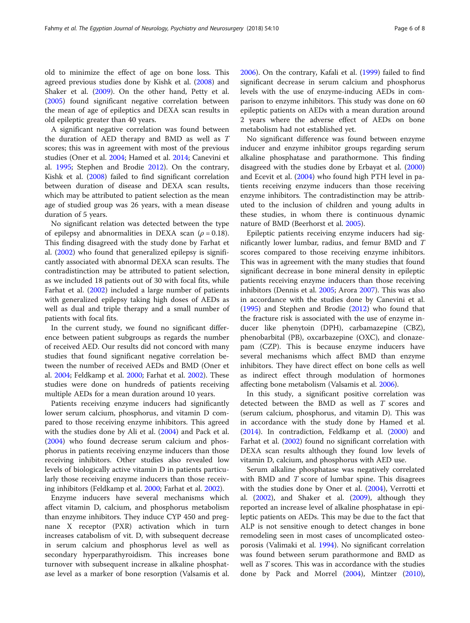old to minimize the effect of age on bone loss. This agreed previous studies done by Kishk et al. ([2008\)](#page-6-0) and Shaker et al. [\(2009](#page-7-0)). On the other hand, Petty et al. ([2005](#page-7-0)) found significant negative correlation between the mean of age of epileptics and DEXA scan results in old epileptic greater than 40 years.

A significant negative correlation was found between the duration of AED therapy and BMD as well as T scores; this was in agreement with most of the previous studies (Oner et al. [2004](#page-6-0); Hamed et al. [2014;](#page-6-0) Canevini et al. [1995;](#page-6-0) Stephen and Brodie [2012](#page-7-0)). On the contrary, Kishk et al. ([2008\)](#page-6-0) failed to find significant correlation between duration of disease and DEXA scan results, which may be attributed to patient selection as the mean age of studied group was 26 years, with a mean disease duration of 5 years.

No significant relation was detected between the type of epilepsy and abnormalities in DEXA scan ( $\rho = 0.18$ ). This finding disagreed with the study done by Farhat et al. ([2002](#page-6-0)) who found that generalized epilepsy is significantly associated with abnormal DEXA scan results. The contradistinction may be attributed to patient selection, as we included 18 patients out of 30 with focal fits, while Farhat et al. ([2002](#page-6-0)) included a large number of patients with generalized epilepsy taking high doses of AEDs as well as dual and triple therapy and a small number of patients with focal fits.

In the current study, we found no significant difference between patient subgroups as regards the number of received AED. Our results did not concord with many studies that found significant negative correlation between the number of received AEDs and BMD (Oner et al. [2004;](#page-6-0) Feldkamp et al. [2000](#page-6-0); Farhat et al. [2002\)](#page-6-0). These studies were done on hundreds of patients receiving multiple AEDs for a mean duration around 10 years.

Patients receiving enzyme inducers had significantly lower serum calcium, phosphorus, and vitamin D compared to those receiving enzyme inhibitors. This agreed with the studies done by Ali et al. ([2004](#page-6-0)) and Pack et al. ([2004](#page-6-0)) who found decrease serum calcium and phosphorus in patients receiving enzyme inducers than those receiving inhibitors. Other studies also revealed low levels of biologically active vitamin D in patients particularly those receiving enzyme inducers than those receiving inhibitors (Feldkamp et al. [2000;](#page-6-0) Farhat et al. [2002\)](#page-6-0).

Enzyme inducers have several mechanisms which affect vitamin D, calcium, and phosphorus metabolism than enzyme inhibitors. They induce CYP 450 and pregnane X receptor (PXR) activation which in turn increases catabolism of vit. D, with subsequent decrease in serum calcium and phosphorus level as well as secondary hyperparathyroidism. This increases bone turnover with subsequent increase in alkaline phosphatase level as a marker of bone resorption (Valsamis et al. [2006](#page-7-0)). On the contrary, Kafali et al. [\(1999\)](#page-6-0) failed to find significant decrease in serum calcium and phosphorus levels with the use of enzyme-inducing AEDs in comparison to enzyme inhibitors. This study was done on 60 epileptic patients on AEDs with a mean duration around 2 years where the adverse effect of AEDs on bone metabolism had not established yet.

No significant difference was found between enzyme inducer and enzyme inhibitor groups regarding serum alkaline phosphatase and parathormone. This finding disagreed with the studies done by Erbayat et al. ([2000](#page-6-0)) and Ecevit et al. [\(2004\)](#page-6-0) who found high PTH level in patients receiving enzyme inducers than those receiving enzyme inhibitors. The contradistinction may be attributed to the inclusion of children and young adults in these studies, in whom there is continuous dynamic nature of BMD (Beerhorst et al. [2005\)](#page-6-0).

Epileptic patients receiving enzyme inducers had significantly lower lumbar, radius, and femur BMD and T scores compared to those receiving enzyme inhibitors. This was in agreement with the many studies that found significant decrease in bone mineral density in epileptic patients receiving enzyme inducers than those receiving inhibitors (Dennis et al. [2005;](#page-6-0) Arora [2007](#page-6-0)). This was also in accordance with the studies done by Canevini et al. ([1995\)](#page-6-0) and Stephen and Brodie [\(2012](#page-7-0)) who found that the fracture risk is associated with the use of enzyme inducer like phenytoin (DPH), carbamazepine (CBZ), phenobarbital (PB), oxcarbazepine (OXC), and clonazepam (CZP). This is because enzyme inducers have several mechanisms which affect BMD than enzyme inhibitors. They have direct effect on bone cells as well as indirect effect through modulation of hormones affecting bone metabolism (Valsamis et al. [2006](#page-7-0)).

In this study, a significant positive correlation was detected between the BMD as well as T scores and (serum calcium, phosphorus, and vitamin D). This was in accordance with the study done by Hamed et al. ([2014\)](#page-6-0). In contradiction, Feldkamp et al. ([2000](#page-6-0)) and Farhat et al. [\(2002](#page-6-0)) found no significant correlation with DEXA scan results although they found low levels of vitamin D, calcium, and phosphorus with AED use.

Serum alkaline phosphatase was negatively correlated with BMD and T score of lumbar spine. This disagrees with the studies done by Oner et al. [\(2004\)](#page-6-0), Verrotti et al.  $(2002)$  $(2002)$ , and Shaker et al.  $(2009)$  $(2009)$ , although they reported an increase level of alkaline phosphatase in epileptic patients on AEDs. This may be due to the fact that ALP is not sensitive enough to detect changes in bone remodeling seen in most cases of uncomplicated osteoporosis (Valimaki et al. [1994\)](#page-7-0). No significant correlation was found between serum parathormone and BMD as well as T scores. This was in accordance with the studies done by Pack and Morrel ([2004\)](#page-6-0), Mintzer ([2010](#page-6-0)),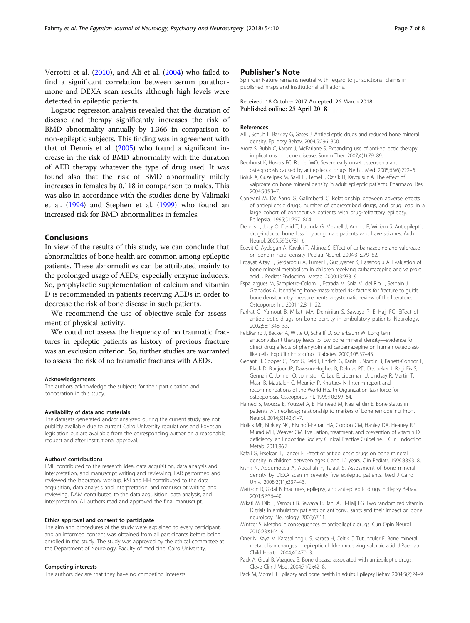<span id="page-6-0"></span>Verrotti et al. ([2010](#page-7-0)), and Ali et al. (2004) who failed to find a significant correlation between serum parathormone and DEXA scan results although high levels were detected in epileptic patients.

Logistic regression analysis revealed that the duration of disease and therapy significantly increases the risk of BMD abnormality annually by 1.366 in comparison to non-epileptic subjects. This finding was in agreement with that of Dennis et al. (2005) who found a significant increase in the risk of BMD abnormality with the duration of AED therapy whatever the type of drug used. It was found also that the risk of BMD abnormality mildly increases in females by 0.118 in comparison to males. This was also in accordance with the studies done by Valimaki et al. ([1994\)](#page-7-0) and Stephen et al. [\(1999](#page-7-0)) who found an increased risk for BMD abnormalities in females.

# Conclusions

In view of the results of this study, we can conclude that abnormalities of bone health are common among epileptic patients. These abnormalities can be attributed mainly to the prolonged usage of AEDs, especially enzyme inducers. So, prophylactic supplementation of calcium and vitamin D is recommended in patients receiving AEDs in order to decrease the risk of bone disease in such patients.

We recommend the use of objective scale for assessment of physical activity.

We could not assess the frequency of no traumatic fractures in epileptic patients as history of previous fracture was an exclusion criterion. So, further studies are warranted to assess the risk of no traumatic fractures with AEDs.

#### Acknowledgements

The authors acknowledge the subjects for their participation and cooperation in this study.

#### Availability of data and materials

The datasets generated and/or analyzed during the current study are not publicly available due to current Cairo University regulations and Egyptian legislation but are available from the corresponding author on a reasonable request and after institutional approval.

#### Authors' contributions

EMF contributed to the research idea, data acquisition, data analysis and interpretation, and manuscript writing and reviewing. LAR performed and reviewed the laboratory workup. RSI and HH contributed to the data acquisition, data analysis and interpretation, and manuscript writing and reviewing. DAM contributed to the data acquisition, data analysis, and interpretation. All authors read and approved the final manuscript.

#### Ethics approval and consent to participate

The aim and procedures of the study were explained to every participant, and an informed consent was obtained from all participants before being enrolled in the study. The study was approved by the ethical committee at the Department of Neurology, Faculty of medicine, Cairo University.

#### Competing interests

The authors declare that they have no competing interests.

#### Publisher's Note

Springer Nature remains neutral with regard to jurisdictional claims in published maps and institutional affiliations.

#### Received: 18 October 2017 Accepted: 26 March 2018 Published online: 25 April 2018

#### References

- Ali I, Schuh L, Barkley G, Gates J. Antiepileptic drugs and reduced bone mineral density. Epilepsy Behav. 2004;5:296–300.
- Arora S, Bubb C, Karam J, McFarlane S. Expanding use of anti-epileptic therapy: implications on bone disease. Summ Ther. 2007;4(1):79–89.
- Beerhorst K, Huvers FC, Renier WO. Severe early onset osteopenia and osteoporosis caused by antiepileptic drugs. Neth J Med. 2005;63(6):222–6.
- Boluk A, Guzelipek M, Savli H, Temel I, Ozisik H, Kaygusuz A. The effect of valproate on bone mineral density in adult epileptic patients. Pharmacol Res. 2004;50:93–7.
- Canevini M, De Sarro G, Galimberti C. Relationship between adverse effects of antiepileptic drugs, number of coprescribed drugs, and drug load in a large cohort of consecutive patients with drug-refractory epilepsy. Epilepsia. 1995;51:797–804.
- Dennis L, Judy O, David T, Lucinda G, Meshell J, Arnold F, William S. Antiepileptic drug-induced bone loss in young male patients who have seizures. Arch Neurol. 2005;59(5):781–6.
- Ecevit C, Aydogan A, Kavakli T, Altinoz S. Effect of carbamazepine and valproate on bone mineral density. Pediatr Neurol. 2004;31:279–82.
- Erbayat Altay E, Serdaroglu A, Tumer L, Gucuyener K, Hasanoglu A. Evaluation of bone mineral metabolism in children receiving carbamazepine and valproic acid. J Pediatr Endocrinol Metab. 2000;13:933–9.
- Espallargues M, Sampietro-Colom L, Estrada M, Sola M, del Rio L, Setoain J, Granados A. Identifying bone-mass-related risk factors for fracture to guide bone densitometry measurements: a systematic review of the literature. Osteoporos Int. 2001;12:811–22.
- Farhat G, Yamout B, Mikati MA, Demirjian S, Sawaya R, El-Hajj FG. Effect of antiepileptic drugs on bone density in ambulatory patients. Neurology. 2002;58:1348–53.
- Feldkamp J, Becker A, Witte O, Scharff D, Scherbaum W. Long term anticonvulsant therapy leads to low bone mineral density—evidence for direct drug effects of phenytoin and carbamazepine on human osteoblastlike cells. Exp Clin Endocrinol Diabetes. 2000;108:37–43.
- Genant H, Cooper C, Poor G, Reid I, Ehrlich G, Kanis J, Nordin B, Barrett-Connor E, Black D, Bonjour JP, Dawson-Hughes B, Delmas PD, Dequeker J, Ragi Eis S, Gennari C, Johnell O, Johnston C, Lau E, Liberman U, Lindsay R, Martin T, Masri B, Mautalen C, Meunier P, Khaltaev N. Interim report and recommendations of the World Health Organization task-force for osteoporosis. Osteoporos Int. 1999;10:259–64.
- Hamed S, Moussa E, Youssef A, El Hameed M, Nasr el din E. Bone status in patients with epilepsy; relationship to markers of bone remodeling. Front Neurol. 2014;5(142):1–7.
- Holick MF, Binkley NC, Bischoff-Ferrari HA, Gordon CM, Hanley DA, Heaney RP, Murad MH, Weaver CM. Evaluation, treatment, and prevention of vitamin D deficiency: an Endocrine Society Clinical Practice Guideline. J Clin Endocrinol Metab. 2011;96:7.
- Kafali G, Erselcan T, Tanzer F. Effect of antiepileptic drugs on bone mineral density in children between ages 6 and 12 years. Clin Pediatr. 1999;38:93–8.
- Kishk N, Aboumousa A, Abdallah F, Talaat S. Assessment of bone mineral density by DEXA scan in seventy five epileptic patients. Med J Cairo Univ. 2008;2(11):337–43.
- Mattson R, Gidal B. Fractures, epilepsy, and antiepileptic drugs. Epilepsy Behav. 2001;52:36–40.
- Mikati M, Dib L, Yamout B, Sawaya R, Rahi A, El-Hajj FG. Two randomized vitamin D trials in ambulatory patients on anticonvulsants and their impact on bone neurology. Neurology. 2006;67:11.
- Mintzer S. Metabolic consequences of antiepileptic drugs. Curr Opin Neurol. 2010;23:s164–9.
- Oner N, Kaya M, Karasalihoglu S, Karaca H, Celtik C, Tutunculer F. Bone mineral metabolism changes in epileptic children receiving valproic acid. J Paediatr Child Health. 2004;40:470–3.
- Pack A, Gidal B, Vazquez B. Bone disease associated with antiepileptic drugs. Cleve Clin J Med. 2004;71(2):42–8.
- Pack M, Morrell J. Epilepsy and bone health in adults. Epilepsy Behav. 2004;5(2):24–9.